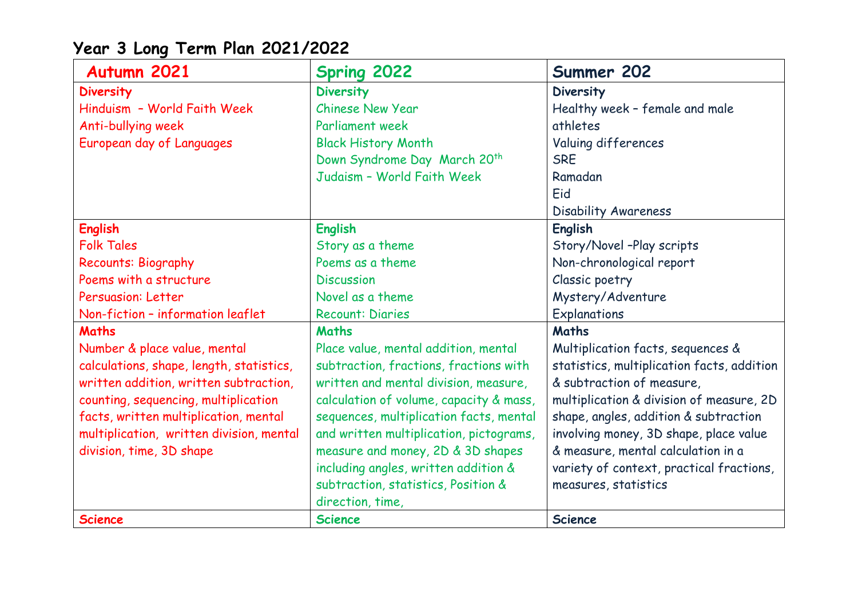| Autumn 2021                              | <b>Spring 2022</b>                       | Summer 202                                 |
|------------------------------------------|------------------------------------------|--------------------------------------------|
| <b>Diversity</b>                         | <b>Diversity</b>                         | Diversity                                  |
| Hinduism - World Faith Week              | <b>Chinese New Year</b>                  | Healthy week - female and male             |
| Anti-bullying week                       | <b>Parliament week</b>                   | athletes                                   |
| European day of Languages                | <b>Black History Month</b>               | Valuing differences                        |
|                                          | Down Syndrome Day March 20 <sup>th</sup> | <b>SRE</b>                                 |
|                                          | Judaism - World Faith Week               | Ramadan                                    |
|                                          |                                          | Eid                                        |
|                                          |                                          | Disability Awareness                       |
| <b>English</b>                           | <b>English</b>                           | <b>English</b>                             |
| <b>Folk Tales</b>                        | Story as a theme                         | Story/Novel -Play scripts                  |
| <b>Recounts: Biography</b>               | Poems as a theme                         | Non-chronological report                   |
| Poems with a structure                   | <b>Discussion</b>                        | Classic poetry                             |
| <b>Persuasion: Letter</b>                | Novel as a theme                         | Mystery/Adventure                          |
| Non-fiction - information leaflet        | <b>Recount: Diaries</b>                  | Explanations                               |
| <b>Maths</b>                             | <b>Maths</b>                             | <b>Maths</b>                               |
| Number & place value, mental             | Place value, mental addition, mental     | Multiplication facts, sequences &          |
| calculations, shape, length, statistics, | subtraction, fractions, fractions with   | statistics, multiplication facts, addition |
| written addition, written subtraction,   | written and mental division, measure,    | & subtraction of measure,                  |
| counting, sequencing, multiplication     | calculation of volume, capacity & mass,  | multiplication & division of measure, 2D   |
| facts, written multiplication, mental    | sequences, multiplication facts, mental  | shape, angles, addition & subtraction      |
| multiplication, written division, mental | and written multiplication, pictograms,  | involving money, 3D shape, place value     |
| division, time, 3D shape                 | measure and money, 2D & 3D shapes        | & measure, mental calculation in a         |
|                                          | including angles, written addition &     | variety of context, practical fractions,   |
|                                          | subtraction, statistics, Position &      | measures, statistics                       |
|                                          | direction, time,                         |                                            |
| <b>Science</b>                           | <b>Science</b>                           | <b>Science</b>                             |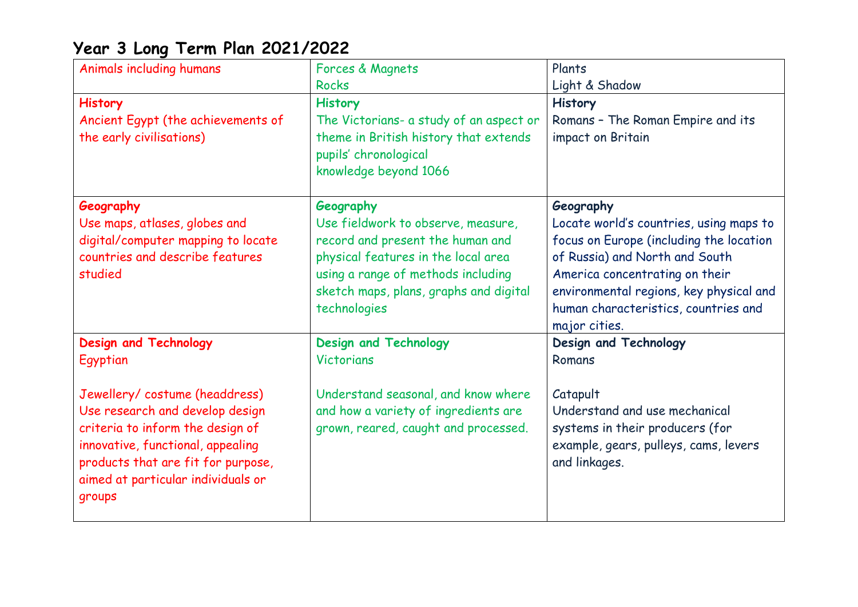| Animals including humans           | Forces & Magnets                                                                        | Plants                                                |
|------------------------------------|-----------------------------------------------------------------------------------------|-------------------------------------------------------|
|                                    | <b>Rocks</b>                                                                            | Light & Shadow                                        |
| <b>History</b>                     | <b>History</b>                                                                          | <b>History</b>                                        |
| Ancient Egypt (the achievements of | The Victorians- a study of an aspect or                                                 | Romans - The Roman Empire and its                     |
| the early civilisations)           | theme in British history that extends<br>pupils' chronological<br>knowledge beyond 1066 | impact on Britain                                     |
| Geography                          | Geography                                                                               | Geography                                             |
| Use maps, atlases, globes and      | Use fieldwork to observe, measure,                                                      | Locate world's countries, using maps to               |
| digital/computer mapping to locate | record and present the human and                                                        | focus on Europe (including the location               |
| countries and describe features    | physical features in the local area                                                     | of Russia) and North and South                        |
| studied                            | using a range of methods including                                                      | America concentrating on their                        |
|                                    | sketch maps, plans, graphs and digital                                                  | environmental regions, key physical and               |
|                                    | technologies                                                                            | human characteristics, countries and<br>major cities. |
| <b>Design and Technology</b>       | <b>Design and Technology</b>                                                            | Design and Technology                                 |
| Egyptian                           | <b>Victorians</b>                                                                       | Romans                                                |
| Jewellery/costume (headdress)      | Understand seasonal, and know where                                                     | Catapult                                              |
| Use research and develop design    | and how a variety of ingredients are                                                    | Understand and use mechanical                         |
| criteria to inform the design of   | grown, reared, caught and processed.                                                    | systems in their producers (for                       |
| innovative, functional, appealing  |                                                                                         | example, gears, pulleys, cams, levers                 |
| products that are fit for purpose, |                                                                                         | and linkages.                                         |
| aimed at particular individuals or |                                                                                         |                                                       |
| groups                             |                                                                                         |                                                       |
|                                    |                                                                                         |                                                       |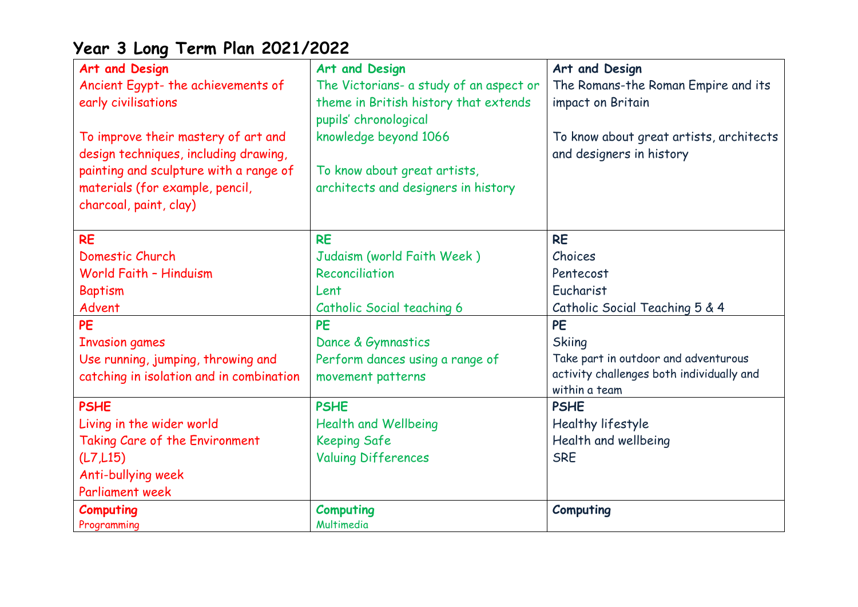| Art and Design                           | Art and Design                          | Art and Design                            |
|------------------------------------------|-----------------------------------------|-------------------------------------------|
| Ancient Egypt- the achievements of       | The Victorians- a study of an aspect or | The Romans-the Roman Empire and its       |
| early civilisations                      | theme in British history that extends   | impact on Britain                         |
|                                          | pupils' chronological                   |                                           |
| To improve their mastery of art and      | knowledge beyond 1066                   | To know about great artists, architects   |
| design techniques, including drawing,    |                                         | and designers in history                  |
| painting and sculpture with a range of   | To know about great artists,            |                                           |
| materials (for example, pencil,          | architects and designers in history     |                                           |
| charcoal, paint, clay)                   |                                         |                                           |
|                                          |                                         |                                           |
| <b>RE</b>                                | <b>RE</b>                               | <b>RE</b>                                 |
| Domestic Church                          | Judaism (world Faith Week)              | Choices                                   |
| World Faith - Hinduism                   | Reconciliation                          | Pentecost                                 |
| <b>Baptism</b>                           | Lent                                    | Eucharist                                 |
| Advent                                   | Catholic Social teaching 6              | Catholic Social Teaching 5 & 4            |
| <b>PE</b>                                | <b>PE</b>                               | <b>PE</b>                                 |
| <b>Invasion games</b>                    | Dance & Gymnastics                      | <b>Skiing</b>                             |
| Use running, jumping, throwing and       | Perform dances using a range of         | Take part in outdoor and adventurous      |
| catching in isolation and in combination | movement patterns                       | activity challenges both individually and |
|                                          |                                         | within a team                             |
| <b>PSHE</b>                              | <b>PSHE</b>                             | <b>PSHE</b>                               |
| Living in the wider world                | <b>Health and Wellbeing</b>             | Healthy lifestyle                         |
| Taking Care of the Environment           | <b>Keeping Safe</b>                     | Health and wellbeing                      |
| (L7, L15)                                | <b>Valuing Differences</b>              | <b>SRE</b>                                |
| Anti-bullying week                       |                                         |                                           |
| <b>Parliament week</b>                   |                                         |                                           |
| Computing                                | <b>Computing</b>                        | Computing                                 |
| Programming                              | Multimedia                              |                                           |